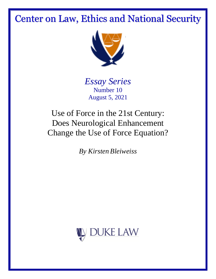# Center on Law, Ethics and National Security



*Essay Series* Number 10 August 5, 2021

Use of Force in the 21st Century: Does Neurological Enhancement Change the Use of Force Equation?

*By Kirsten Bleiweiss*

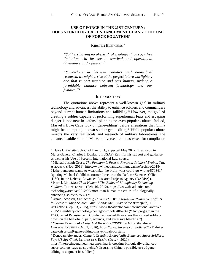## **USE OF FORCE IN THE 21ST CENTURY: DOES NEUROLOGICAL ENHANCEMENT CHANGE THE USE OF FORCE EQUATION?**

#### <span id="page-1-1"></span>KIRSTEN BLEIWEISS\*

*"Soldiers having no physical, physiological, or cognitive limitation will be key to survival and operational dominance in the future."<sup>1</sup>*

*"Somewhere in between robotics and biomedical research, we might arrive at the perfect future warfighter: one that is part machine and part human, striking a formidable balance between technology and our frailties."<sup>2</sup>*

#### <span id="page-1-0"></span>**INTRODUCTION**

The quotations above represent a well-known goal in military technology and advances: the ability to enhance soldiers and commanders beyond current human limitations and fallibility.<sup>3</sup> However, the goal of creating a soldier capable of performing superhuman feats and escaping danger is not new in defense planning or even popular culture. Indeed, Marvel's Luke Cage took on gene-editing<sup>4</sup> before allegations that China might be attempting its own soldier gene-editing. <sup>5</sup> While popular culture mirrors the very real goals and research of military laboratories, the enhanced soldiers in the Marvel universe are not assessed for compliance

<sup>\*</sup> Duke University School of Law, J.D., expected May 2022. Thank you to Major General Charles J. Dunlap, Jr. USAF (Ret.) for his support and guidance as well as his Use of Force in International Law course.

<sup>1</sup> Michael Joseph Gross, *The Pentagon's Push to Program Soldiers' Brains*, THE ATLANTIC (Nov. 2018), https://www.theatlantic.com/magazine/archive/2018/ 11/the-pentagon-wants-to-weaponize-the-brain-what-could-go-wrong/570841/ (quoting Michael Goldblatt, former director of the Defense Sciences Office (DSO) in the Defense Advanced Research Projects Agency (DARPA)). <sup>2</sup> Patrick Lin, *More Than Human? The Ethics of Biologically Enhancing* 

*Soldiers*, THE ATLANTIC (Feb. 16, 2012), https://www.theatlantic.com/ technology/archive/2012/02/more-than-human-the-ethics-of-biologicallyenhancing-soldiers/253217/.

<sup>3</sup> Annie Jacobsen, *Engineering Humans for War: Inside the Pentagon's Efforts to Create a Super-Soldier—and Change the Future of the Battlefield*, THE ATLANTIC (Sep. 23, 2015), https://www.theatlantic.com/international/archive/ 2015/09/military-technology-pentagon-robots/406786/ ("One program in the DSO, called Persistence in Combat, addressed three areas that slowed soldiers down on the battlefield: pain, wounds, and excessive bleeding.").

<sup>4</sup> Yasmin Tayag, *Luke Cage Just Brought CRISPR Tech into the Marvel Universe*, INVERSE (Oct. 3, 2016), https://www.inverse.com/article/21711-lukecage-crispr-cas9-gene-editing-marvel-noah-burstein.

<sup>5</sup> Donovan Alexander, *China is Creating Biologically Enhanced Super Soldiers, Says US Spy Chief*, INTERESTING ENG'G (Dec. 4, 2020),

https://interestingengineering.com/china-is-creating-biologically-enhancedsuper-soldiers-says-us-spy-chief (discussing China's possible use of geneediting to augment its soldiers).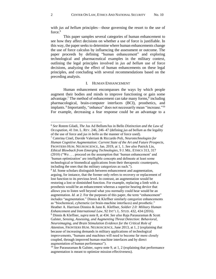with *jus ad bellum* principles—those governing the resort to the use of force. 6

This paper samples several categories of human enhancement to see how they affect decisions on whether a use of force is justifiable. In this way, the paper seeks to determine where human enhancements change the use of force calculus by influencing the assessment or outcome. The paper proceeds by defining "human enhancement" and exploring technological and pharmaceutical examples in the military context, outlining the legal principles involved in *jus ad bellum* use of force decisions, analyzing the effect of human enhancements on these legal principles, and concluding with several recommendations based on the preceding analysis.

#### <span id="page-2-0"></span>I. HUMAN ENHANCEMENT

<span id="page-2-2"></span><span id="page-2-1"></span>Human enhancement encompasses the ways by which people augment their bodies and minds to improve functioning or gain some advantage.<sup>7</sup> The method of enhancement can take many forms,<sup>8</sup> including pharmacological, brain-computer interfaces (BCI), prosthetics, and implants.<sup>9</sup> Importantly, "enhance" does not necessarily mean "increase."<sup>10</sup> For example, decreasing a fear response could be an advantage to a

<sup>6</sup> *See* Rotem Giladi, *The* Jus Ad Bellum*/*Jus in Bello *Distinction and the Law of Occupation*, 41 ISR. L. REV. 246, 246–47 (defining *jus ad bellum* as the legality of the use of force and *jus in bello* as the manner of force used).

<sup>7</sup> Caterina Cinel, Davide Valeriani & Riccardo Poli, *Neurotechnologies for Human Cognitive Augmentation: Current State of the Art and Future Prospects*, FRONTIERS HUM. NEUROSCIENCE, Jan. 2019, at 1, 1. *See also* Patrick Lin, *Ethical Blowback from Emerging Technologies*, 9 J. MIL. ETHICS 313, 317 (2010) ("We . . . proceed on the assumption that 'human enhancement' and 'human optimization' are intelligible concepts and delineate at least some technological or biomedical applications from their therapeutic counterparts, including the ones that the military categorizes as such.").

<sup>&</sup>lt;sup>8</sup> *Id*. Some scholars distinguish between enhancement and augmentation, arguing, for instance, that the former only refers to recovery or replacement of lost function to its previous level. In contrast, an augmentation would be restoring a lost or diminished function. For example, replacing a limb with a prosthesis would be an enhancement whereas a superior hearing device that allows you to listen well beyond what you normally could hear would be an augmentation. *Id.* at 2. For the purposes of this paper, the term "enhancement" includes "augmentation." Dinnis & Kleffner similarly categorize enhancements as "biochemical, cybernetic (or brain-machine interfaces) and prosthetic." Heather A. Harrison Dinniss & Jann K. Kleffner, *Soldier 2.0: Military Human Enhancement and International Law*, 92 INT'L L. STUD. 432, 434 (2016). <sup>9</sup> Dinnis & Kleffner, *supra* note [8,](#page-2-0) at 434. *See also* Raja Parasuraman & Scott Galster, *Sensing, Assessing, and Augmenting Threat Detection: Behavioral, Neuroimaging, and Brain Stimulation Evidence for the Critical Role of Attention*, FRONTIERS HUM. NEUROSCIENCE, June 2013, at 1, 2 (explaining that because of increasing demands in military applications of technological improvements, "humans and machines will need to become far more closely coupled, through improved human-machine interfaces and by direct augmentation of human performance").

<sup>10</sup> *See* Parasuraman & Galster, *supra* not[e 9,](#page-2-1) at 1, 2 (explaining that performance augmentation is meant to optimize mission effectiveness).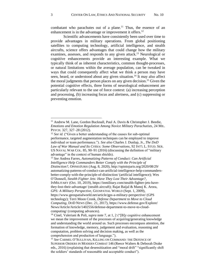<span id="page-3-0"></span>combatant who parachutes out of a plane.<sup>11</sup> Thus, the essence of an enhancement is in the advantage or improvement it offers.<sup>12</sup>

Scientific advancements have consistently been used over time to provide advantages in military operations. From global positioning satellites to computing technology, artificial intelligence, and stealth aircrafts, science offers advantages that could change how the military examines, assesses, and responds to any given attack.<sup>13</sup> Neurological or cognitive enhancements provide an interesting example. What we typically think of as inherent characteristics, common thought-processes, or natural limitations within the average population, can be tweaked in ways that could consequently affect what we think a person may have seen, heard, or understood about any given situation.<sup>14</sup> It may also affect the moral judgments that person places on any given decision. <sup>15</sup> Given the potential cognitive effects, three forms of neurological enhancement are particularly relevant to the use of force context: (a) increasing perception and processing, (b) increasing focus and alertness, and (c) suppressing or preventing emotion.

<span id="page-3-1"></span><sup>&</sup>lt;sup>11</sup> Andrew M. Lane, Gordon Bucknall, Paul A. Davis & Christopher J. Beedie, *Emotions and Emotion Regulation Among Novice Military Parachutists*, 24 MIL. PSYCH. 327, 327–28 (2012).

<sup>&</sup>lt;sup>12</sup> *See id.* ("Given a better understanding of the causes for sub-optimal performance, targeted augmentation techniques can be employed to improve individual or team performance."). *See also* Charles J. Dunlap, Jr., *The DoD Law of War Manual and Its Critics: Some Observations*, 92 INT'L L. STUD. SER. US NAVAL WAR COL. 85, 90–91 (2016) (discussing the definition of "military advantage" in the context of human shields).

<sup>13</sup> *See* Andrea Farres, *Automatizing Patterns of Conduct: Can Artificial Intelligence Help Commanders Better Comply with the Principle of Distinction?*, OPINIOJURIS (Aug. 8, 2020), http://opiniojuris.org/2020/08/29/ automatizing-patterns-of-conduct-can-artificial-intelligence-help-commandersbetter-comply-with-the-principle-of-distinction/ (artificial intelligence); Wes O'Donnell, *Stealth Fighter Jets: Have They Lost Their Advantage?*, INMILITARY (Oct. 10, 2019), https://inmilitary.com/stealth-fighter-jets-havethey-lost-their-advantage/ (stealth aircraft); Rajat Baijal & Manoj K. Arora, *GPS: A Military Perspective*, GEOSPATIAL WORLD (Sept. 1, 2009), https://www.geospatialworld.net/article/gps-a-military-perspective/ (GPS technology); Terri Moon Cronk, *Defense Department to Move to Cloud Computing*, DOD NEWS (Dec. 21, 2017), https://www.defense.gov/Explore/ News/Article/Article/1402556/defense-department-to-move-to-cloudcomputing/ (computing advances).

<sup>&</sup>lt;sup>14</sup> Cinel, Valeriani & Poli, *supra* note [7,](#page-2-2) at 1, 2 ("[B]y cognitive enhancement we mean the improvement of the processes of acquiring/generating knowledge and understanding the world around us. Such processes encompass attention, the formation of knowledge, memory, judgement and evaluation, reasoning and computation, problem solving and decision making, as well as the comprehension and production of language.").

<sup>15</sup> *See* CARMEL O'SULLIVAN, KILLING ON COMMAND: THE DEFENCE OF SUPERIOR ORDERS IN MODERN COMBAT 146 (Reece Walters & Deborah Drake eds., 2016) (explaining that desensitization and "moral drift" "significantly shift the soldiers' standards of reasonable and acceptable conduct").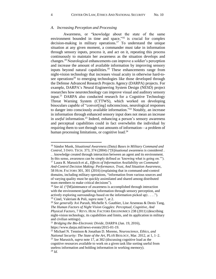#### *A. Increasing Perception and Processing*

<span id="page-4-2"></span><span id="page-4-0"></span>Awareness, or "knowledge about the state of the same environment bounded in time and space,"<sup>16</sup> is crucial for complex decision-making in military operations. <sup>17</sup> To understand the unique situation at any given moment, a commander must take in information through sensory inputs, process it, and act on it, repeating this process continuously to maintain her awareness as the situation develops and changes. <sup>18</sup> Neurological enhancements can improve a soldier's perception and increase the amount of available information by improving sensory inputs beyond natural capabilities. <sup>19</sup> These enhancements range from night-vision technology that increases visual acuity in otherwise hard-tosee operations<sup>20</sup> to emerging technologies like those developed through the Defense Advanced Research Projects Agency (DARPA) projects. For example, DARPA's Neural Engineering System Design (NESD) project researches how neurotechnology can improve visual and auditory sensory input.<sup>21</sup> DARPA also conducted research for a Cognitive Technology Threat Warning System (CTTWS), which worked on developing binoculars capable of "convert[ing] subconscious, neurological responses to danger into consciously available information."<sup>22</sup> Notably, an increase in information through enhanced sensory input does not mean an increase in *useful* information.<sup>23</sup> Indeed, enhancing a person's sensory awareness and perceptual capabilities could in fact overwhelm the individual by requiring them to sort through vast amounts of information—a problem of human processing limitations, or cognitive load.<sup>24</sup>

<span id="page-4-1"></span><sup>16</sup> Sándor Munk, *Situational Awareness (Data) Bases in Military Command and Control*, 3 INFO. TECH. 373, 374 (2004) ("[S]ituational awareness is considered . . . knowledge created through interaction between an agent and its environment. In this sense, awareness can be simply defined as 'knowing what is going on.'").

<sup>17</sup> Laura R. Marusich et al., *Effects of Information Availability on Command-And-Control Decision Making: Performance, Trust, And Situation Awareness*, 58 HUM. FACTORS 301, 301 (2016) (explaining that in command-and-control domains, including military operations, "information from various sources and of varying quality must be quickly assimilated and shared among distributed team members to make critical decisions").

<sup>18</sup> *See id.* ("[M]aintenance of awareness is accomplished through interaction with the environment (gathering information through sensory perception, and actively exploring surroundings based on the information picked up) . . . ."). <sup>19</sup> Cinel, Valeriani & Poli, *supra* note [7,](#page-2-2) at 2.

<sup>20</sup> *See generally* Avi Parush, Michelle S. Gauthier, Lise Arseneau & Denis Tang, *The Human Factors of Night Vision Goggles: Perceptual, Cognitive, And Physical Factors*, 7 REVS. HUM. FACTORS ERGONOMICS 238 (2011) (describing night-vision technology, its capabilities and limits, and its application in military and civilian settings).

<sup>21</sup> *Bridging the Bio-Electronic Divide*, DARPA (Jan. 19, 2016), https://www.darpa.mil/news-events/2015-01-19.

<sup>22</sup> Michael N. Tennison & Jonathan D. Moreno, *Neuroscience, Ethics, and* 

*National Security: The State of the Art*, PLOS BIOLOGY, Mar. 2012, at 1, 1–2. <sup>23</sup> *See* Marusich, *supra* note [17,](#page-4-0) at 302 (discussing cognitive load as the cognitive resources available to work on a given task like sorting useful from

useless information and holding information in working memory). <sup>24</sup> *Id.*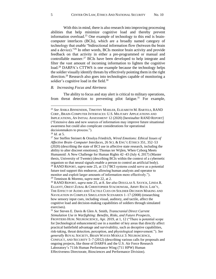<span id="page-5-0"></span>With this in mind, there is also research into improving processing abilities that help minimize cognitive load and thereby prevent information overload.<sup>25</sup> One example of technology to this end is braincomputer interfaces (BCIs), which are a broadly named category of technology that enable "bidirectional information flow (between the brain and a device)."<sup>26</sup> In other words, BCIs monitor brain activity and provide feedback on that activity in either a pre-programmed or manual and controllable manner. <sup>27</sup> BCIs have been developed to help integrate and filter the vast amount of incoming information to lighten the cognitive load.<sup>28</sup> DARPA's CTTWS is one example because the technology helps the soldier visually identify threats by effectively pointing them in the right direction.<sup>29</sup> Research also goes into technologies capable of monitoring a soldier's cognitive load in the field.<sup>30</sup>

## <span id="page-5-2"></span>*B. Increasing Focus and Alertness*

<span id="page-5-1"></span>The ability to focus and stay alert is critical to military operations, from threat detection to preventing pilot fatigue.<sup>31</sup> For example,

<sup>25</sup> *See* ANIKA BINNENDIJK, TIMOTHY MARLER, ELIZABETH M. BARTELS, RAND CORP., BRAIN-COMPUTER INTERFACES: U.S. MILITARY APPLICATIONS AND IMPLICATIONS, AN INITIAL ASSESSMENT 12 (2020) [hereinafter RAND REPORT] ("Extensive data and new sources of information may improve future situational awareness but could also complicate considerations for operational decisionmakers to process.").

<sup>26</sup> *Id.* at 5.

<sup>27</sup> *See* Steffen Steinert & Orsolya Friedrich, *Wired Emotions: Ethical Issues of Affective Brain–Computer Interfaces*, 26 SCI. & ENG'G ETHICS 351, 352–53 (2020) (describing the state of BCI use in affective state research, including the ability to alter discreet emotions); Thomas ter Wijlen, When Cyborg Meets Humanoid: A New Challenge for Human Rights 42–43 (July 4, 2017) (Master thesis, University of Twente) (describing BCIs within the context of a cybernetic organism so that neural signals enable a person to control an artificial body). <sup>28</sup> RAND REPORT, *supra* note [25,](#page-5-0) at 13 ("BCI systems could serve as a potential future tool support this endeavor, allowing human analysts and operator to monitor and exploit larger amounts of information more effectively."). <sup>29</sup> Tennison & Moreno, *supra* not[e 22,](#page-4-1) at 2.

<sup>30</sup> RAND REPORT, *supra* note [25,](#page-5-0) at 8. *See also* DOUGLAS S. SAVICK, LINDA R. ELLIOTT, OREST ZUBAL & CHRISTOPHER STACHOWIAK, ARMY RSCH. LAB'Y, THE EFFECT OF AUDIO AND TACTILE CUES ON SOLDIER DECISION MAKING AND NAVIGATION IN COMPLEX SIMULATION SCENARIOS 1–17 (2008) (researching how sensory input cues, including visual, auditory, and tactile, affect the cognitive load and decision-making capabilities of soldiers through simulated exercises).

<sup>31</sup> *See* Steven E. Davis & Glen A. Smith, *Transcranial Direct Current Stimulation Use in Warfighting: Benefits, Risks, and Future Prospects*, FRONTIERS HUM. NEUROSCIENCE, Apr. 2019, at 1, 12 ("There is potential scope for [technological enhancement] use in a number of key areas that directly affect practical battlefield advantage and survivability, such as deceptive capabilities, risk-taking, threat detection, perception, and physiological improvement."). *See generally* ROYAL SOCIETY, BRAIN WAVES MODULE 3: NEUROSCIENCE, CONFLICT, AND SECURITY 5–7 (2012) (describing various calls for proposals and ongoing projects, like those of DARPA and the U.S. Air Force Research Laboratory's 711th Human Performance Wing (711 HPW) Human Effectiveness Directorate, Biosciences and Performance Division).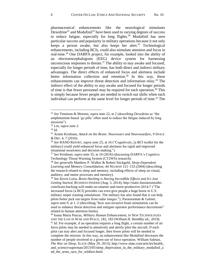<span id="page-6-0"></span>pharmaceutical enhancements like the neurological stimulants Dexedrine<sup>32</sup> and Modafinil<sup>33</sup> have been used to varying degrees of success to reduce fatigue, especially for long flights. $34$  Modafinil has seen particular success and popularity in military operations because it not only keeps a person awake, but also keeps her alert.<sup>35</sup> Technological enhancements, including BCIs, could also stimulate attention and focus in real-time. <sup>36</sup> One DARPA project, for example, looked into the ability of an electroencephalogram (EEG) device system for harnessing unconscious responses to threats. <sup>37</sup> The ability to stay awake and focused, especially for longer periods of time, has both direct and indirect military advantages. The direct effects of enhanced focus and alertness include better information collection and retention. <sup>38</sup> In this way, these enhancements can improve threat detection and information relay.<sup>39</sup> The indirect effect of the ability to stay awake and focused for longer periods of time is that fewer personnel may be required for each operation. <sup>40</sup> This is simply because fewer people are needed to switch out shifts when each individual can perform at the same level for longer periods of time. $41$  The

<span id="page-6-2"></span><span id="page-6-1"></span><sup>32</sup> *See* Tennison & Moreno, *supra* note [22,](#page-4-1) at 2 (describing Dexedrine as "the amphetamine-based 'go pills' often used to reduce the fatigue induced by long missions").

<sup>33</sup> Lin, *supra* note [2.](#page-1-0)

<sup>34</sup> *Id.*

<sup>35</sup> Armin Krishnan, *Attack on the Brain: Neurowars and Neurowarfare*, 9 SPACE & DEF. 4, 7 (2016).

<sup>36</sup> *See* RAND REPORT, *supra* not[e 25,](#page-5-0) at 16 ("Cognitively, [a BCI toolkit for the military] could yield enhanced focus and alertness for rapid and improved situational awareness and decision-making.").

<sup>37</sup> *See* Krishnan, *supra* note [35,](#page-6-0) at 10 (2016) (discussing DARPA's Cognitive Technology Threat Warning System (CT2WS) research).

<sup>38</sup> *See generally* Matthew P. Walker & Robert Stickgold, *Sleep-Dependent Learning and Memory Consolidation*, 44 NEURON 121–133 (2004) (describing the research related to sleep and memory, including effects of sleep on visual, auditory, and motor processes and memory).

<sup>39</sup> *See* Kevin Loria, *Brain Hacking is Having Incredible Effects and It's Just Getting Started*, BUSINESS INSIDER (Aug. 5, 2014), http://static.businessinsider. com/brain-hacking-will-make-us-smarter-and-more-productive-2014-7 ("The increased focus [a BCI] provides can even give people a huge boost in U.S. military sniper training simulations. The military has also found that it can help pilots better pick out targets from radar images."); Parasuraman & Galster, *supra* note [9,](#page-2-1) at 1–2 (describing "how non-invasive brain stimulation can be used to enhance threat detection and mitigate operator performance decrements" related to human attention limits).

<sup>40</sup> Ioana Maria Puscas, *Military Human Enhancement*, *in* NEW TECHNOLOGIES AND THE LAW IN WAR AND PEACE, 182, 183 (William H. Boothby ed., 2019). <sup>41</sup> *Id.* For example, if an operation requires a long flight, a certain number of air force pilots may be needed to attentively and alertly pilot the aircraft. If each pilot can stay alert and focused longer, then fewer pilots will be needed to complete the mission. In this way, an enhancement like Modafinil decreases the number of people involved in a given use of force operation. William Saletan, *The War on Sleep*, SLATE (May 29, 2013), http://www.slate.com/articles/health\_ and\_science/superman/2013/05/sleep\_deprivation\_in\_the\_military\_modafinil\_a nd\_the\_arms\_race\_for\_soldiers.html.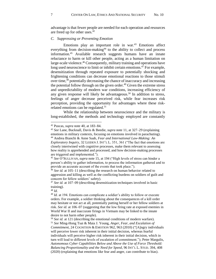advantage is that fewer people are needed for each operation and resources are freed up for other uses.<sup>42</sup>

## *C. Suppressing or Preventing Emotion*

Emotions play an important role in war. $43$  Emotions affect everything from decision-making<sup>44</sup> to the ability to collect and process information. <sup>45</sup> Available research suggests humans have an innate reluctance to harm or kill other people, acting as a human limitation on large-scale violence. <sup>46</sup> Consequently, military training and operations have long used neuroscience to limit or inhibit certain emotions.<sup>47</sup> For example, desensitization through repeated exposure to potentially shocking and frightening conditions can decrease emotional reactions to those stimuli over time, <sup>48</sup> potentially decreasing the chance of inaccuracy and increasing the potential follow through on the given order.<sup>49</sup> Given the extreme stress and unpredictability of modern war conditions, increasing efficiency of any given response will likely be advantageous. <sup>50</sup> In addition to stress, feelings of anger decrease perceived risk, while fear increases risk perception, providing the opportunity for advantages where these riskrelated emotions can be regulated.<sup>51</sup>

<span id="page-7-0"></span>While the relationship between neuroscience and the military is long-established, the methods and technology employed are constantly

<sup>42</sup> Puscas, *supra* note [40,](#page-6-1) at 183–84.

<sup>43</sup> *See* Lane, Bucknall, Davis & Beedie, *supra* note [11,](#page-3-0) at 327–29 (explaining emotions in military contexts, focusing on emotions involved in parachuting).

<sup>44</sup> Andrea Bianchi & Anne Saab, *Fear and International Law-Making: An Exploratory Inquiry*, 32 LEIDEN J. INT'L L. 351, 361 ("The fact that emotions are closely intertwined with cognitive processes, make them relevant to assessing how reality is apprehended and processed, and how decision-making processes are triggered and implemented.").

<sup>45</sup> *See* O'SULLIVAN, *supra* note [15,](#page-3-1) at 194 ("High levels of stress can hinder a person's ability to gather information, to process the information gathered and to provide an accurate account of the events that took place.").

<sup>46</sup> *See id.* at 105–11 (describing the research on human behavior related to aggression and killing as well as the conflicting burdens on soldiers of guilt and concern for fellow soldiers' safety).

<sup>47</sup> *See id.* at 107–09 (describing desensitization techniques involved in basic training).

<sup>48</sup> *Id.*

<sup>49</sup> *Id.* at 194. Emotions can complicate a soldier's ability to follow or execute orders. For example, a soldier thinking about the consequences of a kill order may hesitate or not act at all, potentially putting herself or her fellow soldiers at risk. *See id.* at 106–07 (suggesting that the low firing rate at exposed enemies in World War II and inaccurate firings in Vietnam may be linked to the innate desire to not harm other people).

<sup>50</sup> *See id.* at 121 (describing the emotional conditions of modern warfare). <sup>51</sup> *See* Ming-Hong Tsai & Maia J. Young, *Anger, Fear, and Escalation of Commitment*, 24 COGNITION & EMOTION 962, 963 (2010) ("[A]ngry individuals will perceive lower risk inherent in their initial decision, whereas fearful individuals will perceive higher risk inherent in their initial decision, which in turn will lead to different levels of escalation of commitment."); Peter Margulis, *Autonomous Cyber Capabilities Below and Above the Use of Force Threshold: Balancing Proportionality and the Need for Speed*, 96 INT'L L. STUD. 394, 408 (2020) (explaining that emotions like fear and anger, can contribute to bias).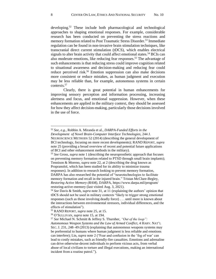<span id="page-8-0"></span>developing.<sup>52</sup> These include both pharmacological and technological approaches to shaping emotional responses. For example, considerable research has been conducted on preventing the stress reactions and memory formation related to Post Traumatic Stress Disorder.<sup>53</sup> Immediate regulation can be found in non-invasive brain stimulation techniques, like transcranial direct current stimulation (tDCS), which enables electrical signals to alter brain activity that could affect emotional states.<sup>54</sup> BCIs can also moderate emotions, like reducing fear responses.<sup>55</sup> The advantage of such enhancements is that reducing stress could improve cognition related to situational awareness and decision-making and reducing fear could reduce perceived risk.<sup>56</sup> Emotion suppression can also make decisions more consistent or reduce mistakes, as human judgment and execution may be less reliable than, for example, autonomous systems in certain contexts.<sup>57</sup>

Clearly, there is great potential in human enhancements for improving sensory perception and information processing, increasing alertness and focus, and emotional suppression. However, when these enhancements are applied in the military context, they should be assessed for how they affect decision-making, particularly those decisions involved in the use of force.

<sup>52</sup> *See, e.g.*, Robbin A. Miranda et al., *DARPA-Funded Efforts in the Development of Novel Brain-Computer Interface Technologies*, 244 J. NEUROSCIENCE METHODS 52 (2014) (describing the general development of BCI technology, focusing on more recent developments); RAND REPORT, *supra* not[e 25](#page-5-0) (providing a broad overview of recent and potential future applications

of BCI and other enhancement methods in the military).

<sup>53</sup> *See* Gross, *supra* not[e 1](#page-1-1) (describing the neuroprosthetic approach that focuses on preventing memory formation related to PTSD through small brain implants); Tennison & Moreno, *supra* not[e 22,](#page-4-1) at 2 (describing the drug known as Propranolol, which has been studied for its ability to minimize trauma responses). In addition to research looking to prevent memory formation, DARPA has also researched the potential of "neurotechnologies to facilitate memory formation and recall in the injured brain." Tristan McClure-Begley, *Restoring Active Memory (RAM)*, DARPA, https://www.darpa.mil/program/ restoring-active-memory (last visited Aug. 3, 2021).

<sup>54</sup> *See* Davis & Smith, *supra* note [31,](#page-5-1) at 11 (explaining the authors' opinion that tDCS should not be used in military contexts "likely to trigger strong emotional responses (such as those involving deadly force) . . . until more is known about the interactions between environmental stressors, individual differences, and the effects of stimulation").

<sup>55</sup> RAND REPORT, *supra* note [25,](#page-5-0) at 15.

<sup>56</sup> O'SULLIVAN, *supra* not[e 15,](#page-3-1) at 194.

<sup>57</sup> *See* Michael N. Schmitt & Jeffrey S. Thurnher, *"Out of the loop":* 

*Autonomous Weapon Systems and the Law of Armed Conflict*, 4 HARV. NAT'L SEC. J. 231, 248–49 (2013) (explaining that autonomous weapons systems may be preferential to humans where human judgment is less reliable and emotions can interfere); Lin, *supra* not[e 2](#page-1-0) ("Fear and confusion in the 'fog of war' can lead to costly mistakes, such as friendly-fire casualties. Emotions and adrenaline can drive otherwise-decent individuals to perform vicious acts, from verbal abuse of local civilians to torture and illegal executions, making an international incident from a routine patrol.").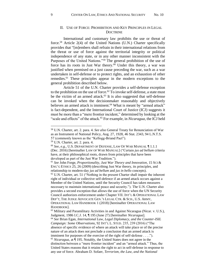## <span id="page-9-0"></span>II. USE OF FORCE: PROHIBITION AND KEY PRINCIPLES IN LEGAL **DOCTRINE**

International and customary law prohibits the use or threat of force. <sup>58</sup> Article 2(4) of the United Nations (U.N.) Charter specifically provides that "[m]embers shall refrain in their international relations from the threat or use of force against the territorial integrity or political independence of any state, or in any other manner inconsistent with the Purposes of the United Nations."<sup>59</sup> The general prohibition of the use of force has its roots in Just War theory.<sup>60</sup> Under this theory, a war was justified when premised on a just cause preceding the war, such as a war undertaken in self-defense or to protect rights, and an exhaustion of other remedies.<sup>61</sup> These principles appear in the modern exceptions to the general prohibition described below.

<span id="page-9-4"></span><span id="page-9-3"></span><span id="page-9-1"></span>Article 51 of the U.N. Charter provides a self-defense exception to the prohibition on the use of force.<sup>62</sup> To invoke self-defense, a state must be the victim of an armed attack. <sup>63</sup> It is also suggested that self-defense can be invoked when the decisionmaker reasonably and objectively believes an armed attack is imminent.<sup>64</sup> What is meant by "armed attack" is fact-dependent, and the International Court of Justice (ICJ) suggests it must be more than a "mere frontier incident," determined by looking at the "scale and effects" of the attack.<sup>65</sup> For example, in *Nicaragua*, the ICJ held

<span id="page-9-2"></span><sup>58</sup> U.N. Charter, art. 2. para. 4. *See also* General Treaty for Renunciation of War as an Instrument of National Policy, Aug. 27, 1928, 46 Stat. 2343, 94 L.N.T.S. 57 (commonly known as the "Kellogg-Briand Pact").

<sup>59</sup> U.N. Charter, art. 2. para. 4.

<sup>60</sup> *See, e.g.*, U.S. DEPARTMENT OF DEFENSE, LAW OF WAR MANUAL ¶ 1.1.1 (Dec. 2016) [hereinafter LAW OF WAR MANUAL] ("Certain *jus ad bellum* criteria have, at their philosophical roots, drawn from principles that have been developed as part of the Just War Tradition.").

<sup>61</sup> *See* John Forge, *Proportionality, Just War Theory and Innovation*, 15 SCI & ENG'G ETHICS 25, 26 (2009) (describing Just War theory, its principles, and relationship to modern-day *jus ad bellum* and *jus in bello* concepts).  $62$  U.N. Charter, art. 51 ("Nothing in the present Charter shall impair the inherent

right of individual or collective self-defence if an armed attack occurs against a Member of the United Nations, until the Security Council has taken measures necessary to maintain international peace and security."). The U.N. Charter also provides a second exception that allows the use of force when the UN Security Council authorizes enforcement under Chapter VII. INT'L & OPERATIONAL LAW DEP'T, THE JUDGE ADVOCATE GEN.'S LEGAL CTR. & SCH., U.S. ARMY, OPERATIONAL LAW HANDBOOK 1 (2018) [hereinafter OPERATIONAL LAW HANDBOOK].

<sup>63</sup> Military and Paramilitary Activities in and Against Nicaragua (Nicar. v. U.S.), Judgment, 1986 I.C.J. 14, ¶ 195 (June 27) [hereinafter *Nicaragua*]. <sup>64</sup> *See* Brian Egan, *International Law, Legal Diplomacy, and the Counter-ISIL Campaign: Some Observations*, 92 INT'L L. STUD. 235, 239 (2016) ("The absence of specific evidence of where an attack will take place or of the precise nature of an attack does not preclude a conclusion that an armed attack is imminent for purposes of the exercise of the right of self-defense . . . ."). <sup>65</sup> *Nicaragua*, at ¶ 195. Notably, the United States does not agree in the distinction between a "mere frontier incident" and an "armed attack." Thus, the United States reasons that it retains the right to act in self-defense in response to any use of force. Abraham D. Sofaer, *Terrorism, the Law, and the National*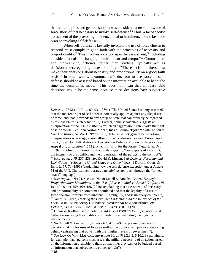<span id="page-10-1"></span>that arms supplies and general support was considered a *de minimis* use of force short of that necessary to invoke self-defense.<sup>66</sup> Thus, a fact-specific assessment of the provoking incident, actual or imminent, should be made prior to invoking self-defense.

<span id="page-10-0"></span>When self-defense is lawfully invoked, the use of force chosen to respond must comply in good faith with the principles of necessity and proportionality.<sup>67</sup> This involves a context-specific assessment,<sup>68</sup> including consideration of the changing "environment and tempo."<sup>69</sup> Commanders and high-ranking officials, rather than soldiers, typically act as decisionmakers regarding the resort to force.<sup>70</sup> These decisionmakers must make their decisions about necessity and proportionality on a good faith basis. <sup>71</sup> In other words, a commander's decision to use force in selfdefense should be assessed based on the information available to her at the time the decision is made. <sup>72</sup> This does not mean that all reasonable decisions would be the same, because these decisions have subjective

*Defense*, 126 MIL. L. REV. 89, 93 (1989) ("The United States has long assumed that the inherent right of self defense potentially applies against any illegal use of force, and that it extends to any group or State that can properly be regarded as responsible for such activities."). Further, some scholarship suggests an interpretation of the U.N. Charter by which an "aggression" can invoke the right of self-defense. *See* John Norton Moore, Jus ad Bellum *Before the International Court of Justice*, 52 VA. J. INT'L L. 903, 911–12 (2012) (generally describing interpretations where aggression allows for self-defense). *See also* Prosecutor v. Tadić; Case No. IT-94-1-AR-72, Decision on Defence Motion for Interlocutory Appeal on Jurisdiction, ¶ 562 (Int'l Crim. Trib. for the former Yugoslavia Oct. 2, 1995) (defining an armed conflict with respect to "two aspects of a conflict; the intensity of the conflict and the organization of the parties to the conflict"). <sup>66</sup> *Nicaragua*, at ¶¶ 237, 238. *See* David K. Linnan, *Self-Defense, Necessity and U.N. Collective Security: United States and Other Views*, 1 DUKE J. COMP. & INT'L L. 57, 70 (1991) (explaining how the self-defense exception under Article 51 of the U.N. Charter incorporates a *de minimis* approach through the "armed attack" language).

<sup>67</sup> *Nicaragua*, at ¶ 194. *See also* Noam Lubell & Amichai Cohen, *Strategic Proportionality: Limitations on the Use of Force in Modern Armed Conflicts*, 96 INT'L L. STUD. 159, 169, 186 (2020) (explaining that assessments of necessity and proportionality are sometimes conflated and that the legality of a use of force decision "suffers from inherent . . . ambiguity, and is uniquely complex."). <sup>68</sup> James A. Green, *Docking the Caroline: Understanding the Relevance of the Formula in Contemporary Customary International Law concerning Self-*

*Defense*, 14 CARDOZO J. INT'L & COMP. L. 429, 450–51 (2006).

<sup>69</sup> Dinnis & Kleffner, *supra* note [8,](#page-2-0) at 443. *See* O'SULLIVAN, *supra* note [15,](#page-3-1) at 120–37 (describing the conditions of modern war, including the dynamic environment).

<sup>70</sup> *See* Lubell & Amicahi, *supra* note [67,](#page-10-0) at 190–92 (explaining the levels of decision-making for uses of force as well as the political and practical reasoning behind centralizing that power with the "highest levels of government").

<sup>71</sup> *See* LAW OF WAR MANUAL, *supra* note [60,](#page-9-0) at ¶¶ 2.2.3.3, 5.10.2.3 (explaining, for example, that "persons must assess the military necessity of an action based on the information available to them at that time; they cannot be judged based on information that subsequently comes to light"). <sup>72</sup> *Id.*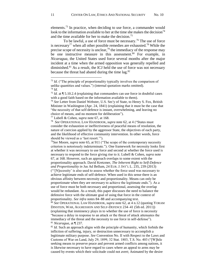elements.<sup>73</sup> In practice, when deciding to use force, a commander would look to the information available to her at the time she makes the decision<sup>74</sup> and the time available for her to make the decision.<sup>75</sup>

To be lawful, a use of force must be necessary. <sup>76</sup> The use of force is necessary<sup>77</sup> when all other possible remedies are exhausted.<sup>78</sup> While the precise scope of necessity is unclear,<sup>79</sup> the immediacy of the response may be one instructive measure in this assessment. <sup>80</sup> For example, in *Nicaragua*, the United States used force several months after the major incident at a time when the armed opposition was generally repelled and diminished.<sup>81</sup> As a result, the ICJ held the use of force was not necessary because the threat had abated during the time lag.<sup>82</sup>

<sup>77</sup> Lubell & Cohen, *supra* note [67,](#page-10-0) at 168.

78 *See* OPERATIONAL LAW HANDBOOK, *supra* note [62,](#page-9-1) at 4 ("States must consider the exhaustion or ineffectiveness of peaceful means of resolution, the nature of coercion applied by the aggressor State, the objectives of each party, and the likelihood of effective community intervention. In other words, force should be viewed as a 'last resort.'").

<sup>79</sup>*See* Moore, *supra* not[e 65,](#page-9-2) at 911 ("The scope of the contemporary necessity criterion is notoriously indeterminate."). One framework for necessity looks first at whether it was necessary to use force and second at whether the force used is necessary to respond to the force giving rise to it. Lubell & Cohen, *supra* note [67,](#page-10-0) at 168. However, such an approach overlaps to some extent with the proportionality approach. David Kretzmer, *The Inherent Right to Self-Defence and Proportionality in* Jus Ad Bellum, 24 EUR. J. INT'L L. 235, 239 (2013) ("'[N]ecessity' is also used to assess whether the force used was necessary to achieve legitimate ends of self-defence. When used in this sense there is an obvious affinity between necessity and proportionality. Means can only be proportionate when they are necessary to achieve the legitimate ends."). As a use of force must be both necessary and proportional, assessing the overlap would be redundant. As a result, this paper discusses the need to balance the defensive force with the ultimate goal of using that force in the context of proportionality. *See infra* notes [84](#page-12-0)[–88](#page-12-1) and accompanying text.

<sup>80</sup> *See* OPERATIONAL LAW HANDBOOK, *supra* note [62,](#page-9-1) at 4 n.12 (quoting YORAM DINSTEIN, WAR, AGGRESSION AND SELF-DEFENCE 234–41 (5th ed. 2011)) (explaining that imminency plays in to whether the use of force is necessity "because a delay in response to an attack or the threat of attack attenuates the immediacy of the threat and the necessity to use force in self-defense"). <sup>81</sup> *Nicaragua*, at ¶ 237.

<sup>82</sup> *Id.* Such an approach aligns with the principle of humanity, which forbids the infliction of suffering, injury, or destruction unnecessary to accomplish a legitimate military purpose. *See* Convention No. II with Respect to the Laws and Customs of War on Land, July 29, 1899, 32 Stat. 1803, T.S. No. 403 ("[W]hile seeking means to preserve peace and prevent armed conflicts among nations, it is likewise necessary to have regard to cases where an appeal to arms may be caused by events which their solicitude could not avert; Animated by the desire

<sup>&</sup>lt;sup>73</sup> *Id.* ("The principle of proportionality typically involves the comparison of unlike quantities and values.") (internal quotation marks omitted). <sup>74</sup> *Id.*

<sup>75</sup> *Id.* at ¶ 5.10.2.4 (explaining that commanders can use force in doubtful cases with a good faith based on the information available to them).

<sup>76</sup> *See* Letter from Daniel Webster, U.S. Sec'y of State, to Henry S. Fox, British Minister in Washington (Apr. 24, 1841) (explaining that it must be the case that "the necessity of that self-defence is instant, overwhelming, and leaving no choice of means, and no moment for deliberation").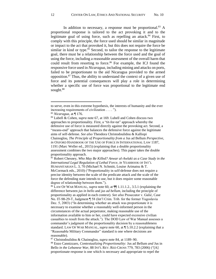<span id="page-12-2"></span><span id="page-12-0"></span>In addition to necessary, a response must be proportional.<sup>83</sup> A proportional response is tailored to the act provoking it and to the legitimate goal of using force, such as repelling an attack. <sup>84</sup> First, to comply with this principle, the force used should be similar in magnitude or impact to the act that provoked it, but this does not require the force be similar in kind or type. $85$  Second, to tailor the response to the legitimate goal, there must be a relationship between the force used and the goal of using the force, including a reasonable assessment of the overall harm that could result from resorting to force.<sup>86</sup> For example, the ICJ found the responsive force used in *Nicaragua*, including mining and attacks on ports, failed to be proportionate to the aid Nicaragua provided to the armed opposition. <sup>87</sup> Thus, the ability to understand the context of a given use of force and its potential consequences will play a role in determining whether a specific use of force was proportional to the legitimate end sought.<sup>88</sup>

<span id="page-12-1"></span> $\overline{a}$ 

<sup>84</sup> Lubell & Cohen, *supra* note [67,](#page-10-0) at 169. Lubell and Cohen discuss two approaches to proportionality. First, a "tit-for-tat" approach whereby the defensive use of force is measured directly against the provoking act. Second, a "means-end" approach that balances the defensive force against the legitimate aims of self-defense. *See also* Theodora Christodoulidou & Kalliopi Chainoglou, *The Principle of Proportionality from a* Jus ad Bellum *Perspective*, *in* OXFORD HANDBOOK OF THE USE OF FORCE IN INTERNATIONAL LAW 1187, 1191 (Marc Weller ed., 2015) (explaining that a double proportionality assessment combines the two major approaches). This paper takes the double proportionality approach.

<sup>85</sup> Robert Chesney, *Who May Be Killed? Anwar al-Awlaki as a Case Study in the International Legal Regulation of Lethal Force*, *in* YEARBOOK OF INT'L HUMANITARIAN L. 3, 70 (Michael N. Schmitt, Louise Arimatsu & T. McCormack eds., 2010) ("Proportionality in self-defense does not require a precise identity between the scale of the predicate attack and the scale of the force the defending state intends to use, but it does require some reasonable degree of relationship between them.").

<sup>86</sup> LAW OF WAR MANUAL, *supra* not[e 60,](#page-9-0) at ¶¶ 1.11.1.2., 3.5.1 (explaining the difference between *jus in bello* and *jus ad bellum*, including the principle of proportionality as applied in each context). *See also* Prosecutor v. Galić, Case No. IT-98-29-T, Judgment ¶ 58 (Int'l Crim. Trib. for the former Yugoslavia Dec. 5, 2003) ("In determining whether an attack was proportionate it is necessary to examine whether a reasonably well-informed person in the circumstances of the actual perpetrator, making reasonable use of the information available to him or her, could have expected excessive civilian casualties to result from the attack."). The DOD Law of War Manual assesses a commander's judgment of the proportionality decision by a reasonableness standard. LAW OF WAR MANUAL, *supra* note [60,](#page-9-0) at ¶ 5.10.2.2 (explaining that a "Reasonable Military Commander" standard is one where decisions are reasonable).

<sup>87</sup> Christodoulidou & Chainoglou, *supra* note [84,](#page-12-0) at 1189–90.

<sup>88</sup> Enzo Cannizzaro, *Contextualizing Proportionality:* Jus ad Bellum *and* Jus in Bello *in the Lebanese War*, 88 INT'L REV. RED CROSS 779, 783 (2006) ("[A] proportionate response is one which is necessary and appropriate to repel the

to serve, even in this extreme hypothesis, the interests of humanity and the ever increasing requirements of civilization . . . . ").

<sup>83</sup> *Nicaragua*, at ¶ 176.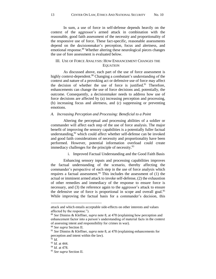In sum, a use of force in self-defense depends heavily on the context of the aggressor's armed attack in combination with the reasonable, good faith assessment of the necessity and proportionality of the responsive use of force. These fact-specific, reasonable assessments depend on the decisionmaker's perception, focus and alertness, and emotional response. <sup>89</sup> Whether altering these neurological pieces changes the use of fore assessment is evaluated below.

## III. USE OF FORCE ANALYSIS: HOW ENHANCEMENT CHANGES THE **EQUATION**

As discussed above, each part of the use of force assessment is highly context-dependent.<sup>90</sup> Changing a combatant's understanding of the context and nature of a provoking act or defensive use of force may affect the decision of whether the use of force is justified.<sup>91</sup> Therefore, enhancements can change the use of force decisions and, potentially, the outcome. Consequently, a decisionmaker needs to address how use of force decisions are affected by (a) increasing perception and processing, (b) increasing focus and alertness, and (c) suppressing or preventing emotions.

#### *A. Increasing Perception and Processing: Beneficial to a Point*

Altering the perceptual and processing abilities of a soldier or commander will affect each step of the use of force analysis. The major benefit of improving the sensory capabilities is a potentially fuller factual understanding, <sup>92</sup> which could affect whether self-defense can be invoked and good faith considerations of necessity and proportionality have been performed. However, potential information overload could create immediacy challenges for the principle of necessity.<sup>93</sup>

i. Improved Factual Understanding and the Good Faith Basis

Enhancing sensory inputs and processing capabilities improves the factual understanding of the scenario, thereby affecting the commander's perspective of each step in the use of force analysis which requires a factual assessment.<sup>94</sup> This includes the assessment of  $(1)$  the actual or imminent armed attack to invoke self-defense, (2) the exhaustion of other remedies and immediacy of the response to ensure force is necessary, and (3) the reference again to the aggressor's attack to ensure the defensive use of force is proportional in scope and overall goal.<sup>95</sup> While improving the factual basis for a commander's decision, this

attack and which entails acceptable side-effects on other interests and values affected by the response.").

<sup>89</sup> *See* Dinniss & Kleffner, *supra* not[e 8,](#page-2-0) at 478 (explaining how perception and enhancement factor into a person's understanding of material facts in the context of assessing intent and responsibility for crimes in war).

<sup>90</sup> *See supra* Section II.

<sup>91</sup> *See* Dinniss & Kleffner, *supra* not[e 8,](#page-2-0) at 478 (explaining enhancements for perception and intent within the law).

 $\frac{5}{2}$  *Id.* 

<sup>93</sup> *Id.* at 444.

<sup>94</sup> *Id.* at 478.

<sup>95</sup> *See supra* Section II.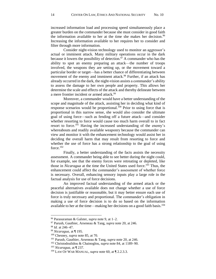increased information load and processing speed simultaneously place a greater burden on the commander because she must consider in good faith the information available to her at the time she makes her decision. 96 Increasing the information available to her requires her to consider and filter through more information.

<span id="page-14-0"></span>Consider night-vision technology used to monitor an aggressor's actual or imminent attack. Many military operations occur in the dark because it lowers the possibility of detection.<sup>97</sup> A commander who has the ability to spot an enemy preparing an attack—the number of troops involved, the weapons they are setting up, or the movement toward a particular border or target—has a better chance of differentiating between movement of the enemy and imminent attack.<sup>98</sup> Further, if an attack has already occurred in the dark, the night-vision assists a commander's ability to assess the damage to her own people and property. This allows her determine the scale and effects of the attack and thereby delineate between a mere frontier incident or armed attack.<sup>99</sup>

Moreover, a commander would have a better understanding of the scope and magnitude of the attack, assisting her in deciding what kind of response scenarios would be proportional.<sup>100</sup> Prior to using force that is proportional in this narrow sense, she would also consider the ultimate goal of using force—such as fending off a future attack—and consider whether resorting to force would cause too much harm overall to in fact resort to force.<sup>101</sup> Having the increased understanding of the enemy's whereabouts and readily available weaponry because the commander can view and monitor it with the enhancement technology would assist her in deciding the overall harm that may result from resorting to force and whether the use of force has a strong relationship to the goal of using force. 102

<span id="page-14-1"></span>Finally, a better understanding of the facts assists the necessity assessment. A commander being able to see better during the night could, for example, see that the enemy forces were retreating or depleted, like those in *Nicaragua* at the time the United States used force. <sup>103</sup> Thus, the enhancement could affect the commander's assessment of whether force is necessary. Overall, enhancing sensory inputs play a large role in the factual analysis for use of force decisions.

An improved factual understanding of the armed attack or the peaceful alternatives available does not change whether a use of force decision is justifiable or reasonable, but it may better ensure each use of force is truly necessary and proportional. The commander's obligation in making a use of force decision is to do so based on the information available to her at the time—making her decisions on a good faith basis.<sup>104</sup>

<sup>96</sup> Parasuraman & Galster, *supra* note [9,](#page-2-1) at 1–2.

<sup>97</sup> Parush, Gauthier, Arseneau & Tang, *supra* note [20,](#page-4-2) at 246.

<sup>98</sup> *Id.* at 246–47.

<sup>99</sup> *Nicaragua*, at ¶ 195.

<sup>100</sup> Chesney, *supra* not[e 85,](#page-12-2) at 70.

<sup>101</sup> Parush, Gauthier, Arseneau & Tang, *supra* not[e 20,](#page-4-2) at 246.

<sup>102</sup> Christodoulidou & Chainoglou, *supra* not[e 84,](#page-12-0) at 1189–90.

<sup>103</sup> *Nicaragua*, at ¶ 237.

<sup>104</sup> LAW OF WAR MANUAL, *supra* note [60,](#page-9-0) at ¶ 2.2.3.3.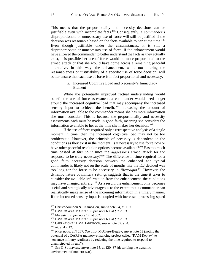This means that the proportionality and necessity decisions can be justifiable even with incomplete facts.<sup>105</sup> Consequently, a commander's disproportionate or unnecessary use of force will still be justified if the decision was reasonable based on the facts available to her at the time.<sup>106</sup> Even though justifiable under the circumstances, it is still a disproportionate or unnecessary use of force. If the enhancement would have allowed the commander to better understand the facts as they actually exist, it is possible her use of force would be more proportional to the armed attack or that she would have come across a remaining peaceful alternative. In this way, the enhancement, while not altering the reasonableness or justifiability of a specific use of force decision, will better ensure that each use of force is in fact proportional and necessary.

## ii. Increased Cognitive Load and Necessity's Immediacy Element

While the potentially improved factual understanding would benefit the use of force assessment, a commander would need to get around the increased cognitive load that may accompany the increased sensory input to achieve the benefit.<sup>107</sup> Increasing the amount of information available to the commander means she has more information she must consider. This is because the proportionality and necessity assessments each must be made in good faith, meaning she considers the information available to her at the time she makes her decision.<sup>108</sup>

If the use of force required only a retrospective analysis of a single moment in time, then the increased cognitive load may not be too problematic. However, the principle of necessity is dependent on the conditions as they exist in the moment: Is it necessary to use force *now* or have other peaceful resolution options become available?<sup>109</sup> Has too much time passed *at this point* since the aggressor's armed attack for the response to be truly necessary?<sup>110</sup> The difference in time required for a good faith necessity decision between the enhanced and typical commander is likely not on the scale of months like the ICJ decided was too long for the force to be necessary in *Nicaragua*. <sup>111</sup> However, the dynamic nature of military settings suggests that in the time it takes to consider the available information from the enhancement, the conditions may have changed entirely.<sup>112</sup> As a result, the enhancement only becomes useful and strategically advantageous to the extent that a commander can realistically make sense of the incoming information in a timely manner. If the increased sensory input is coupled with increased processing speed

<sup>105</sup> Christodoulidou & Chainoglou, *supra* not[e 84,](#page-12-0) at 1196.

<sup>106</sup> LAW OF WAR MANUAL, *supra* note [60,](#page-9-0) at ¶ 2.2.3.3.

<sup>107</sup> Marusich, *supra* note [17,](#page-4-0) at 302.

<sup>108</sup> LAW OF WAR MANUAL, *supra* note [60,](#page-9-0) at ¶ 2.2.3.3.

<sup>109</sup> OPERATIONAL LAW HANDBOOK, *supra* note [62,](#page-9-1) at 4.

<sup>110</sup> *Id.* at 4 n.12.

<sup>111</sup> *Nicaragua*, at ¶ 237. *See also*, McClure-Begley, *supra* note [53](#page-8-0) (noting the potential of a DARPA memory-enhancing project called "RAM Replay" to "enhance military readiness by reducing the time required to respond to unanticipated threats").

<sup>112</sup> *See* O'SULLIVAN, *supra* note [15,](#page-3-1) at 120–37 (describing the dynamic environment of modern war).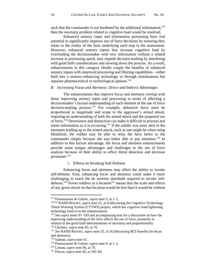such that the commander is not burdened by the additional information, $113$ then the necessity problem related to cognitive load would be resolved.

Enhanced sensory input and information processing have real potential to significantly improve use of force decisions by ensuring they relate to the reality of the facts underlying each step in the assessment. However, enhanced sensory inputs that increase cognitive load by overloading the decisionmaker with new information without a related increase in processing speed, may impede decision-making by interfering with good faith considerations and slowing down the process. As a result, enhancements in this category ideally couple the benefits of enhanced sensory inputs with improved processing and filtering capabilities—either built into a sensory-enhancing technology or through simultaneous but separate pharmaceutical or technological options.<sup>114</sup>

## *B. Increasing Focus and Alertness: Direct and Indirect Advantages*

The enhancements that improve focus and alertness overlap with those improving sensory input and processing in terms of affecting a decisionmaker's factual understanding of each element of the use of force decision-making process.<sup>115</sup> For example, defensive force must be proportional in magnitude and scope to the aggressor's armed attack, requiring an understanding of both the armed attack and the proposed use of force. <sup>116</sup> Drowsiness and distraction can make it difficult to process and retain information as it is occurring.<sup>117</sup> If the solider was more alert in the moments leading up to the armed attack, such as one might be when using Modafinil, the soldier may be able to relay the facts better to the commander simply because she was better able to pay attention.<sup>118</sup> In addition to this factual advantage, the focus and alertness enhancements provide some unique advantages and challenges to the use of force analysis because of their ability to affect threat detection and decrease personnel. 119

#### i. Effects on Invoking Self-Defense

Enhancing focus and alertness may affect the ability to invoke self-defense. First, enhancing focus and alertness could make it more challenging to reach the *de minimis* threshold required to invoke selfdefense.<sup>120</sup> Fewer soldiers in a location<sup>121</sup> means that the scale and effects of any given attack on that location would be less than it would be without

<sup>116</sup> Chesney, *supra* not[e 85,](#page-12-2) at 70.

<sup>113</sup> Parasuraman & Galster, *supra* not[e 9,](#page-2-1) at 1–2.

<sup>114114</sup> RAND REPORT, *supra* note [25,](#page-5-0) at 8 (discussing the Cognitive Technology Threat Warning System (CTTWS) project, which has cognitive load-lightening technology built in to the enhancement).

<sup>115</sup> See *supra* notes [97](#page-14-0)[–103](#page-14-1) and accompanying text for a discussion on how the improving understanding of the facts affects the use of force, primarily in relation to the good faith determinations of necessity and proportionality.

<sup>117</sup> *See* RAND REPORT, *supra* note [25,](#page-5-0) at 16 (discussing BCI benefits for focus and alertness).

<sup>118</sup> Saletan, *supra* not[e 41.](#page-6-2)

<sup>119</sup> Parasuraman & Galster, *supra* not[e 9,](#page-2-1) at 1–2.

<sup>120</sup> Linnan, *supra* note [66,](#page-10-1) at 70.

<sup>121</sup> Puscas, *supra* note [40,](#page-6-1) at 183–84.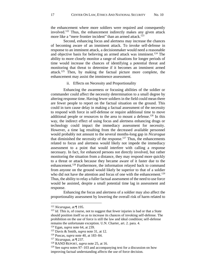the enhancement where more soldiers were required and consequently involved.<sup>122</sup> Thus, the enhancement indirectly makes any given attack more like a "mere frontier incident" than an armed attack.<sup>123</sup>

Second, enhancing focus and alertness may increase the chances of becoming aware of an imminent attack. To invoke self-defense in response to an imminent attack, a decisionmaker would need a reasonable and objective basis for believing an armed attack was imminent.<sup>124</sup> The ability to more closely monitor a range of situations for longer periods of time would increase the chances of identifying a potential threat and monitoring that threat to determine if it becomes an imminent armed attack.<sup>125</sup> Then, by making the factual picture more complete, the enhancement may assist the imminence assessment.

## ii. Effects on Necessity and Proportionality

Enhancing the awareness or focusing abilities of the soldier or commander could affect the necessity determination to a small degree by altering response time. Having fewer soldiers in the field could mean there are fewer people to report on the factual situation on the ground. This could in turn cause delay in making a factual assessment of the necessity to respond with force in self-defense or require additional time to move additional people or resources to the area to mount a defense.<sup>126</sup> In this way, the indirect effect of using focus and alertness enhancing drugs or technology could impact the immediacy assessment for necessity. However, a time lag resulting from the decreased available personnel would probably not amount to the several months-long gap in *Nicaragua* that diminished the necessity of the response.<sup>127</sup> Thus, the enhancements related to focus and alertness would likely not impede the immediacy assessment to a point that would interfere with calling a response necessary. In fact, for enhanced persons not directly involved, but rather monitoring the situation from a distance, they may respond more quickly to a threat or attack because they became aware of it faster due to the enhancement.<sup>128</sup> Furthermore, the information relayed back to command from anyone on the ground would likely be superior to that of a soldier who did not have the attention and focus of one with the enhancement.<sup>129</sup> Thus, the ability to relay a fuller factual assessment of the need to use force would be assisted, despite a small potential time lag in assessment and response.

Enhancing the focus and alertness of a soldier may also affect the proportionality assessment by lowering the overall risk of harm related to

<sup>122</sup> *Nicaragua*, at ¶ 195.

<sup>&</sup>lt;sup>123</sup> *Id.* This is, of course, not to suggest that fewer injuries is bad or that a State should position itself so as to increase its chances of invoking self-defense. The prohibition on the use of force is still the law and ideal condition; self-defense remains the unfortunate exception. U.N. Charter, art. 2. para. 4.

<sup>124</sup> Egan, *supra* note [64,](#page-9-3) at 239.

<sup>125</sup> Davis & Smith, *supra* note [31,](#page-5-1) at 12.

<sup>126</sup> Puscas, *supra* note [40,](#page-6-1) at 183–84.

<sup>127</sup> *Nicaragua*, at ¶ 237.

<sup>128</sup> RAND REPORT, *supra* note [25,](#page-5-0) at 16.

<sup>129</sup> See *supra* notes [97](#page-14-0)[–103](#page-14-1) and accompanying text for a discussion on how improving factual understanding affects the use of force decision.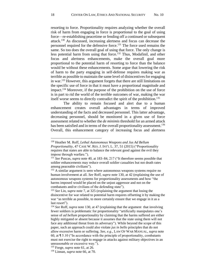<span id="page-18-0"></span>resorting to force. Proportionality requires analyzing whether the overall risk of harm from engaging in force is proportional to the goal of using force—re-establishing peacetime or fending off a continued or subsequent attack. <sup>130</sup> As discussed, increasing alertness and focus can decrease the personnel required for the defensive force.<sup>131</sup> The force used remains the same. So too does the overall goal of using that force. The only change is less potential harm from using that force. <sup>132</sup> Thus, Modafinil, and other focus and alertness enhancements, make the overall goal more proportional to the potential harm of resorting to force than the balance would be without these enhancements. Some argue that lowering the risk of harm to the party engaging in self-defense requires making war as terrible as possible to maintain the same level of disincentives for engaging in war. <sup>133</sup> However, this argument forgets that there are still limitations on the specific use of force in that it must have a proportional magnitude and impact.<sup>134</sup> Moreover, if the purpose of the prohibition on the use of force is in part to rid the world of the terrible outcomes of war, making the war itself worse seems to directly contradict the spirit of the prohibition.<sup>135</sup>

The ability to remain focused and alert due to a human enhancement creates overall advantages in terms of improved understanding of the facts and decreased personnel. This latter advantage, decreasing personnel, should be monitored in a given use of force assessment related to whether the *de minimis* threshold for an armed attack has been satisfied and in terms of the overall proportionality assessment.<sup>136</sup> Overall, this enhancement category of increasing focus and alertness

<sup>130</sup> Heather M. Roff, *Lethal Autonomous Weapons and Jus Ad Bellum Proportionality*, 47 CASE W. RES. J. INT'L L. 37, 51 (2015) ("Proportionality requires that states are able to balance the relevant good against the evil they impose through warfare.").

<sup>131</sup> *See* Puscas, *supra* note [40,](#page-6-1) at 183–84, 217 ("It therefore seems possible that soldier enhancements may reduce overall soldier casualties but not death rates among peaceable civilians").

<sup>&</sup>lt;sup>132</sup> A similar argument is seen where autonomous weapons systems require no human involvement at all. *See* Roff, *supra* not[e 130,](#page-18-0) at 42 (explaining the use of autonomous weapons systems for proportionality assessments and how "the harms imposed would be placed on the unjust aggressor and not on the combatants and/or civilians of the defending state").

<sup>133</sup> *See* Lin, *supra* note [7,](#page-2-2) at 325 (explaining the argument that losing the disincentive for war related to potential harm requires offsetting it by making the war "as terrible as possible, to more certainly ensure that we engage in it as a last resort").

<sup>134</sup> *See* Roff, *supra* note [130,](#page-18-0) at 47 (explaining that the argument that involving fewer soldiers is problematic for proportionality "artificially manipulates one's sense of *ad bellum* proportionality by claiming that the harms suffered are either highly mitigated or absent because it assumes that the state using them will not face any additional threat from its adversary"). While beyond the scope of this paper, such an approach could also violate *jus in bello* principles that do not allow excessive harm or suffering. *See, e.g.*, LAW OF WAR MANUAL, *supra* note [60,](#page-9-0) at ¶ 5.10 ("In accordance with the principle of proportionality, combatants must not exercise the right to engage in attacks against military objectives in an unreasonable or excessive way.").

<sup>135</sup> Forge, *supra* note [61,](#page-9-4) at 26.

<sup>136</sup> Linnan, *supra* note [66,](#page-10-1) at 70.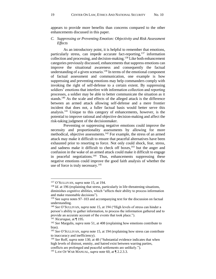appears to provide more benefits than concerns compared to the other enhancements discussed in this paper.

## *C. Suppressing or Preventing Emotion: Objectivity and Risk Assessment Effects*

As an introductory point, it is helpful to remember that emotions, particularly stress, can impede accurate fact-reporting,<sup>137</sup> information collection and processing, and decision-making.<sup>138</sup> Like both enhancement categories previously discussed, enhancements that suppress emotions can improve the situational awareness and consequently the factual understanding of a given scenario. $139$  In terms of the emotional component of factual assessment and communication, one example is how suppressing and preventing emotions may help commanders comply with invoking the right of self-defense to a certain extent. By suppressing soldiers' emotions that interfere with information collection and reporting processes, a soldier may be able to better communicate the situation as it stands.<sup>140</sup> As the scale and effects of the alleged attack is the difference between an armed attack allowing self-defense and a mere frontier incident that does not, a fuller factual basis would better serve this analysis.<sup>141</sup> Unique to this category of enhancements, however, is the potential to improve rational and objective decision-making and affect the risk-taking judgment of the decisionmaker.

Preventing or suppressing negative emotions could improve the necessity and proportionality assessments by allowing for more methodical, objective assessments.<sup>142</sup> For example, the stress of an armed attack may make it difficult to ensure that peaceful alternatives have been exhausted prior to resorting to force. Not only could shock, fear, stress, and sadness make it difficult to check off boxes, $143$  but the anger and confusion in the wake of an armed attack could make it difficult to engage in peaceful negotiations.<sup>144</sup> Thus, enhancements suppressing these negative emotions could improve the good faith analysis of whether the use of force is truly necessary. $145$ 

<sup>137</sup> O'SULLIVAN, *supra* note [15,](#page-3-1) at 194.

<sup>&</sup>lt;sup>138</sup> *Id.* at 196 (explaining that stress, particularly in life-threatening situations, diminishes cognitive abilities, which "affects their ability to process information and make reasonable decisions").

<sup>139</sup> See *supra* notes [97](#page-14-0)[–103](#page-14-1) and accompanying text for the discussion on factual understanding.

<sup>140</sup> *See* O'SULLIVAN, *supra* note [15,](#page-3-1) at 194 ("High levels of stress can hinder a person's ability to gather information, to process the information gathered and to provide an accurate account of the events that took place.").

<sup>141</sup> *Nicaragua*, at ¶ 195.

<sup>142</sup> *See* Margulis, *supra* not[e 51,](#page-7-0) at 408 (explaining how emotions contribute to bias).

<sup>143</sup> *See* O'SULLIVAN, *supra* note [15,](#page-3-1) at 194 (explaining how stress can contribute to inaccuracy and inefficiency).

<sup>144</sup> *See* Roff, *supra* note [130,](#page-18-0) at 48 ("Substantial evidence indicates that when high levels of distrust, enmity, and hatred exist between warring parties, conflicts are prolonged and peaceful settlements are unlikely.").

<sup>&</sup>lt;sup>145</sup> LAW OF WAR MANUAL, *supra* note [60,](#page-9-0) at  $\P$  2.2.3.3.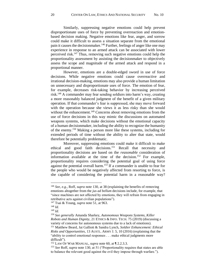Similarly, suppressing negative emotions could help prevent disproportionate uses of force by preventing overreaction and emotionbased decision making. Negative emotions like fear, anger, and sorrow could make it difficult to assess a situation separate from the emotional pain it causes the decisionmaker.<sup>146</sup> Further, feelings of anger like one may experience in response to an armed attack can be associated with lower perceived risk.<sup>147</sup> Thus, removing such negative emotions could help the proportionality assessment by assisting the decisionmaker to objectively assess the scope and magnitude of the armed attack and respond in a proportional manner.

However, emotions are a double-edged sword in use of force decisions. While negative emotions could cause overreactive and irrational decision-making, emotions may also provide a human limitation on unnecessary and disproportionate uses of force. The emotion of fear, for example, decreases risk-taking behavior by increasing perceived risk.<sup>148</sup> A commander may fear sending soldiers into harm's way, creating a more reasonably balanced judgment of the benefit of a given military operation. If that commander's fear is suppressed, she may move forward with the operation because she views it as less risky than she would without the enhancement.<sup>149</sup> Concerns about removing emotions from the use of force decisions in this way mimic the discussions on automated weapons systems, which make decisions without the emotional capacity of a human decisionmaker, including the ability to recognize the humanity of the enemy. <sup>150</sup> Making a person more like these systems, including for extended periods of time without the ability to alter that state, would therefore be potentially problematic.

Moreover, suppressing emotions could make it difficult to make ethical and good faith decisions.<sup>151</sup> Recall that necessity and proportionality decisions are based on the *reasonable* consideration of information available at the time of the decision.<sup>152</sup> For example, proportionality requires considering the potential goal of using force against the potential overall harm.<sup>153</sup> If a commander is unable to fear for the people who would be negatively affected from resorting to force, is she capable of considering the potential harm in a reasonable way?

<sup>146</sup> *See, e.g.*, Roff, *supra* note [130,](#page-18-0) at 38 (explaining the benefits of removing emotions altogether from the *jus ad bellum* decisions include, for example, that "since machines are not affected by emotions, they will refrain from engaging in retributive acts against civilian populations").

<sup>147</sup> Tsai & Young, *supra* note [51,](#page-7-0) at 963.

<sup>148</sup> *Id.*

<sup>149</sup> *Id.*

<sup>150</sup> *See generally* Amanda Sharkey, *Autonomous Weapons Systems, Killer Robots and Human Dignity*, 21 ETHICS & INFO. TECH. 75 (2019) (discussing a variety of concerns for autonomous systems due to a lack of emotions). <sup>151</sup> Matthew Beard, Jai Galliott & Sandra Lynch, *Soldier Enhancement: Ethical Risks and Opportunities*, 13 AUSTL. ARMY J. 5, 10 (2016) (explaining that the "ability to control emotional responses . . . make ethical judgments more difficult").

<sup>152</sup> LAW OF WAR MANUAL, *supra* note [60,](#page-9-0) at ¶ 2.2.3.3.

<sup>153</sup> *See* Roff, *supra* note [130,](#page-18-0) at 51 ("Proportionality requires that states are able to balance the relevant good against the evil they impose through warfare.").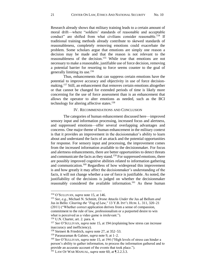Research already shows that military training leads to a certain amount of moral drift—where "soldiers' standards of reasonable and acceptable conduct" are shifted from what civilians consider reasonable.<sup>154</sup> If traditional training methods already contribute to skewed standards of reasonableness, completely removing emotions could exacerbate the problem. Some scholars argue that emotions are simply one reason a decision may be made and that the reason is not relevant to the reasonableness of the decision.<sup>155</sup> While true that emotions are not necessary to make a reasonable, justifiable use of force decision, removing a potential barrier for resorting to force seems counter to the goal of generally limiting its use. 156

Thus, enhancements that can suppress certain emotions have the potential to improve accuracy and objectivity in use of force decisionmaking.<sup>157</sup> Still, an enhancement that removes certain emotions altogether or that cannot be changed for extended periods of time is likely more concerning for the use of force assessment than is an enhancement that allows the operator to alter emotions as needed, such as the BCI technology for altering affective states. 158

#### IV. RECOMMENDATIONS AND CONCLUSION

The categories of human enhancement discussed here—improved sensory input and information processing, increased focus and alertness, and suppressed emotions—offer several overlapping advantages and concerns. One major theme of human enhancement in the military context is that it provides an improvement in the decisionmaker's ability to learn about and understand the facts of an attack and the potential opportunities for response. For sensory input and processing, the improvement comes from the increased information available to the decisionmaker. For focus and alertness enhancements, there are better opportunities to detect threats and communicate the facts as they stand.<sup>159</sup> For suppressed emotions, there are possibly improved cognitive abilities related to information gathering and communication.<sup>160</sup> Regardless of how widespread this improvement is and how greatly it may affect the decisionmaker's understanding of the facts, it will not change whether a use of force is justifiable. As noted, the justifiability of the decisions is judged on whether the decisionmaker reasonably considered the available information.<sup>161</sup> As these human

<sup>154</sup> O'SULLIVAN, *supra* note [15,](#page-3-1) at 146.

<sup>155</sup> *See, e.g.*, Michael N. Schmitt, *Drone Attacks Under the* Jus ad Bellum *and*  Jus in Bello: *Clearing the "Fog of Law,"* 13 Y.B. INT'L HUM. L. 311, 320–21 (2011) ("Whether correct application derives from a sense of compassion, commitment to the rule of law, professionalism or a purported desire to win what is perceived as a video game is irrelevant.").

<sup>156</sup> U.N. Charter, art. 2. para. 4.

<sup>157</sup> *See* O'SULLIVAN, *supra* note [15,](#page-3-1) at 194 (explaining how stress can increase inaccuracy and inefficiency).

<sup>158</sup> Steinert & Friedrich, *supra* note [27,](#page-5-2) at 352–53.

<sup>159</sup> Parasuraman & Galster, *supra* not[e 9,](#page-2-1) at 1–2.

<sup>160</sup> *See* O'SULLIVAN, *supra* note [15,](#page-3-1) at 194 ("High levels of stress can hinder a person's ability to gather information, to process the information gathered and to provide an accurate account of the events that took place.").

<sup>161</sup> LAW OF WAR MANUAL, *supra* note [60,](#page-9-0) at ¶ 2.2.3.3.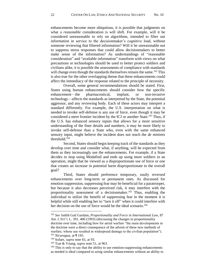enhancements become more ubiquitous, it is possible that judgments on what a *reasonable* consideration is will shift. For example, will it be considered unreasonable to rely on algorithms, intended to filter out information in service to the decisionmaker's cognitive load, without someone reviewing that filtered information? Will it be unreasonable not to suppress stress responses that could allow decisionmakers to better make sense of the information? As understandings of "reasonable consideration" and "available information" transform with views on what precautions or technologies should be used to better protect soldiers and civilians alike, it is possible the assessments of compliance with standards will change even though the standards themselves remain the same.<sup>162</sup> This is also true for the other overlapping theme that these enhancements could affect the immediacy of the response related to the principle of necessity.

Overall, some general recommendations should be stated. First, States using human enhancements should consider how the specific enhancement—the pharmaceutical, implant, or non-invasive technology—affects the standards as interpreted by the State, the potential aggressor, and any reviewing body. Each of these actors may interpret a standard differently. For example, the U.S. interpretation on what is needed to invoke self-defense is any use of force, even though it may be considered a mere frontier incident by the ICJ or another State.<sup>163</sup> Thus, if the U.S. has enhanced sensory inputs that allows for a more sensitive understanding of the finer details and numbers, it may be more likely to invoke self-defense than a State who, even with the same enhanced sensory input, might believe the incident does not reach the *de minimis* threshold.<sup>164</sup>

Second, States should begin keeping track of the standards as they develop over time and consider what, if anything, will be expected from them as they increasingly use the enhancements. For example, if a State decides to stop using Modafinil and ends up using more soldiers in an operation, might that be viewed as a disproportionate use of force or one that creates an increase in potential harm disproportionate to the overall goal?

Third, States should preference temporary, easily reversed enhancements over long-term or permanent ones. As discussed for emotion suppression, suppressing fear may be beneficial for a paratrooper, but because it also decreases perceived risk, it may interfere with the proportionality assessment of a decisionmaker.<sup>165</sup> Thus, enabling the individual to utilize the benefit of suppressing fear in the moment it is helpful while still enabling her to "turn it off" when it could interfere with her decision on the use of force would be the ideal scenario.<sup>166</sup>

<sup>162</sup> *See* Judith Gail Gardam, *Proportionality and Force in International Law*, 87 AM. J. INT'L L. 391, 400 (1993) (discussing the changes in proportionality doctrine over time, including how for aerial warfare "the main developments in the doctrine were a direct consequence of the advent of these new methods of warfare, whose use resulted in widespread damage to the civilian population").

<sup>163</sup> *Nicaragua*, at ¶ 195.

<sup>164</sup> Sofaer, *supra* note [65,](#page-9-2) at 93.

<sup>165</sup> Tsai & Young, *supra* note [51,](#page-7-0) at 963.

<sup>&</sup>lt;sup>166</sup> This is only to say that the ability to use emotion-suppressing enhancements as needed is ideal compared to using similar enhancements without an ability to